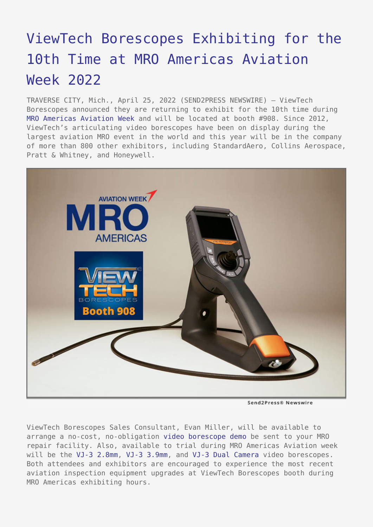## [ViewTech Borescopes Exhibiting for the](https://www.send2press.com/wire/viewtech-borescopes-exhibiting-for-the-10th-time-at-mro-americas-aviation-week-2022/) [10th Time at MRO Americas Aviation](https://www.send2press.com/wire/viewtech-borescopes-exhibiting-for-the-10th-time-at-mro-americas-aviation-week-2022/) [Week 2022](https://www.send2press.com/wire/viewtech-borescopes-exhibiting-for-the-10th-time-at-mro-americas-aviation-week-2022/)

TRAVERSE CITY, Mich., April 25, 2022 (SEND2PRESS NEWSWIRE) — ViewTech Borescopes announced they are returning to exhibit for the 10th time during [MRO Americas Aviation Week](https://www.viewtech.com/about-us/tradeshows/mro-americas-aviation-week-2022/?utm_source=s2p&utm_medium=pr&utm_campaign=mro0422) and will be located at booth #908. Since 2012, ViewTech's articulating video borescopes have been on display during the largest aviation MRO event in the world and this year will be in the company of more than 800 other exhibitors, including StandardAero, Collins Aerospace, Pratt & Whitney, and Honeywell.



Send2Press® Newswire

ViewTech Borescopes Sales Consultant, Evan Miller, will be available to arrange a no-cost, no-obligation [video borescope demo](https://www.viewtech.com/borescope-demo-offer/?utm_source=s2p&utm_medium=pr&utm_campaign=mro0422) be sent to your MRO repair facility. Also, available to trial during MRO Americas Aviation week will be the [VJ-3 2.8mm](https://www.viewtech.com/borescopes/2-8mm-borescope/?utm_source=s2p&utm_medium=pr&utm_campaign=mro0422), [VJ-3 3.9mm,](https://www.viewtech.com/borescopes/3-9mm-borescope/?utm_source=s2p&utm_medium=pr&utm_campaign=mro0422) and [VJ-3 Dual Camera](https://www.viewtech.com/borescopes/dual-camera-borescope/?utm_source=s2p&utm_medium=pr&utm_campaign=mro0422) video borescopes. Both attendees and exhibitors are encouraged to experience the most recent aviation inspection equipment upgrades at ViewTech Borescopes booth during MRO Americas exhibiting hours.